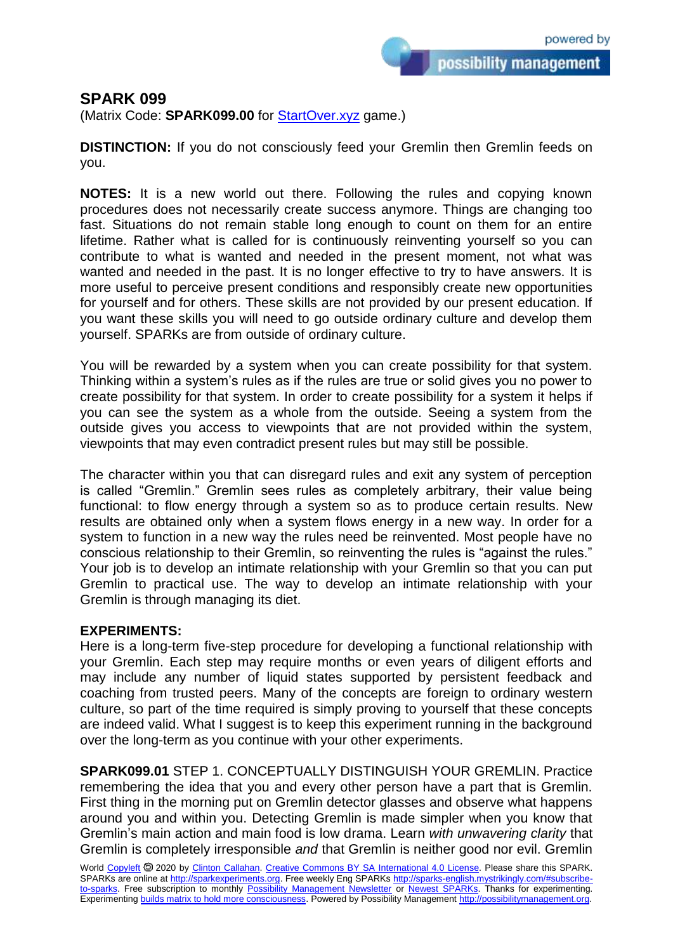possibility management

## **SPARK 099**

(Matrix Code: **SPARK099.00** for [StartOver.xyz](https://startoverxyz.mystrikingly.com/) game.)

**DISTINCTION:** If you do not consciously feed your Gremlin then Gremlin feeds on you.

**NOTES:** It is a new world out there. Following the rules and copying known procedures does not necessarily create success anymore. Things are changing too fast. Situations do not remain stable long enough to count on them for an entire lifetime. Rather what is called for is continuously reinventing yourself so you can contribute to what is wanted and needed in the present moment, not what was wanted and needed in the past. It is no longer effective to try to have answers. It is more useful to perceive present conditions and responsibly create new opportunities for yourself and for others. These skills are not provided by our present education. If you want these skills you will need to go outside ordinary culture and develop them yourself. SPARKs are from outside of ordinary culture.

You will be rewarded by a system when you can create possibility for that system. Thinking within a system's rules as if the rules are true or solid gives you no power to create possibility for that system. In order to create possibility for a system it helps if you can see the system as a whole from the outside. Seeing a system from the outside gives you access to viewpoints that are not provided within the system, viewpoints that may even contradict present rules but may still be possible.

The character within you that can disregard rules and exit any system of perception is called "Gremlin." Gremlin sees rules as completely arbitrary, their value being functional: to flow energy through a system so as to produce certain results. New results are obtained only when a system flows energy in a new way. In order for a system to function in a new way the rules need be reinvented. Most people have no conscious relationship to their Gremlin, so reinventing the rules is "against the rules." Your job is to develop an intimate relationship with your Gremlin so that you can put Gremlin to practical use. The way to develop an intimate relationship with your Gremlin is through managing its diet.

## **EXPERIMENTS:**

Here is a long-term five-step procedure for developing a functional relationship with your Gremlin. Each step may require months or even years of diligent efforts and may include any number of liquid states supported by persistent feedback and coaching from trusted peers. Many of the concepts are foreign to ordinary western culture, so part of the time required is simply proving to yourself that these concepts are indeed valid. What I suggest is to keep this experiment running in the background over the long-term as you continue with your other experiments.

**SPARK099.01** STEP 1. CONCEPTUALLY DISTINGUISH YOUR GREMLIN. Practice remembering the idea that you and every other person have a part that is Gremlin. First thing in the morning put on Gremlin detector glasses and observe what happens around you and within you. Detecting Gremlin is made simpler when you know that Gremlin's main action and main food is low drama. Learn *with unwavering clarity* that Gremlin is completely irresponsible *and* that Gremlin is neither good nor evil. Gremlin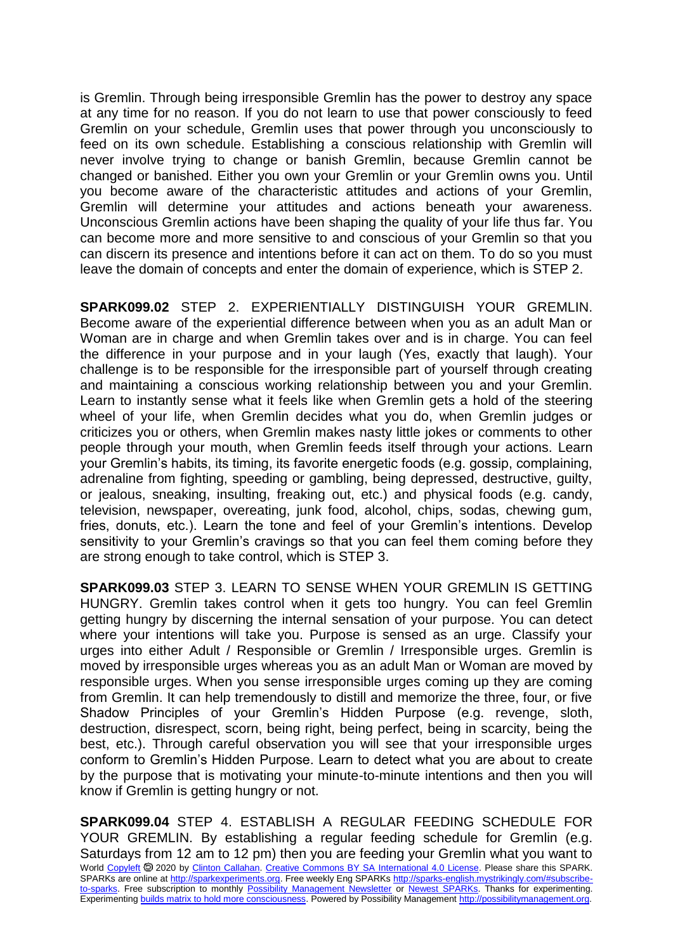is Gremlin. Through being irresponsible Gremlin has the power to destroy any space at any time for no reason. If you do not learn to use that power consciously to feed Gremlin on your schedule, Gremlin uses that power through you unconsciously to feed on its own schedule. Establishing a conscious relationship with Gremlin will never involve trying to change or banish Gremlin, because Gremlin cannot be changed or banished. Either you own your Gremlin or your Gremlin owns you. Until you become aware of the characteristic attitudes and actions of your Gremlin, Gremlin will determine your attitudes and actions beneath your awareness. Unconscious Gremlin actions have been shaping the quality of your life thus far. You can become more and more sensitive to and conscious of your Gremlin so that you can discern its presence and intentions before it can act on them. To do so you must leave the domain of concepts and enter the domain of experience, which is STEP 2.

**SPARK099.02** STEP 2. EXPERIENTIALLY DISTINGUISH YOUR GREMLIN. Become aware of the experiential difference between when you as an adult Man or Woman are in charge and when Gremlin takes over and is in charge. You can feel the difference in your purpose and in your laugh (Yes, exactly that laugh). Your challenge is to be responsible for the irresponsible part of yourself through creating and maintaining a conscious working relationship between you and your Gremlin. Learn to instantly sense what it feels like when Gremlin gets a hold of the steering wheel of your life, when Gremlin decides what you do, when Gremlin judges or criticizes you or others, when Gremlin makes nasty little jokes or comments to other people through your mouth, when Gremlin feeds itself through your actions. Learn your Gremlin's habits, its timing, its favorite energetic foods (e.g. gossip, complaining, adrenaline from fighting, speeding or gambling, being depressed, destructive, guilty, or jealous, sneaking, insulting, freaking out, etc.) and physical foods (e.g. candy, television, newspaper, overeating, junk food, alcohol, chips, sodas, chewing gum, fries, donuts, etc.). Learn the tone and feel of your Gremlin's intentions. Develop sensitivity to your Gremlin's cravings so that you can feel them coming before they are strong enough to take control, which is STEP 3.

**SPARK099.03** STEP 3. LEARN TO SENSE WHEN YOUR GREMLIN IS GETTING HUNGRY. Gremlin takes control when it gets too hungry. You can feel Gremlin getting hungry by discerning the internal sensation of your purpose. You can detect where your intentions will take you. Purpose is sensed as an urge. Classify your urges into either Adult / Responsible or Gremlin / Irresponsible urges. Gremlin is moved by irresponsible urges whereas you as an adult Man or Woman are moved by responsible urges. When you sense irresponsible urges coming up they are coming from Gremlin. It can help tremendously to distill and memorize the three, four, or five Shadow Principles of your Gremlin's Hidden Purpose (e.g. revenge, sloth, destruction, disrespect, scorn, being right, being perfect, being in scarcity, being the best, etc.). Through careful observation you will see that your irresponsible urges conform to Gremlin's Hidden Purpose. Learn to detect what you are about to create by the purpose that is motivating your minute-to-minute intentions and then you will know if Gremlin is getting hungry or not.

World [Copyleft](https://en.wikipedia.org/wiki/Copyleft) <sup>®</sup> 2020 by [Clinton Callahan.](http://clintoncallahan.mystrikingly.com/) [Creative Commons BY SA International 4.0 License.](https://creativecommons.org/licenses/by-sa/4.0/) Please share this SPARK. SPARKs are online at [http://sparkexperiments.org.](http://sparks-english.mystrikingly.com/) Free weekly Eng SPARKs [http://sparks-english.mystrikingly.com/#subscribe](http://sparks-english.mystrikingly.com/#subscribe-to-sparks)[to-sparks.](http://sparks-english.mystrikingly.com/#subscribe-to-sparks) Free subscription to monthly [Possibility Management Newsletter](https://possibilitymanagement.org/news/) or [Newest SPARKs.](https://www.clintoncallahan.org/newsletter-1) Thanks for experimenting. Experimentin[g builds matrix to hold more consciousness.](http://spaceport.mystrikingly.com/) Powered by Possibility Managemen[t http://possibilitymanagement.org.](http://possibilitymanagement.org/) **SPARK099.04** STEP 4. ESTABLISH A REGULAR FEEDING SCHEDULE FOR YOUR GREMLIN. By establishing a regular feeding schedule for Gremlin (e.g. Saturdays from 12 am to 12 pm) then you are feeding your Gremlin what you want to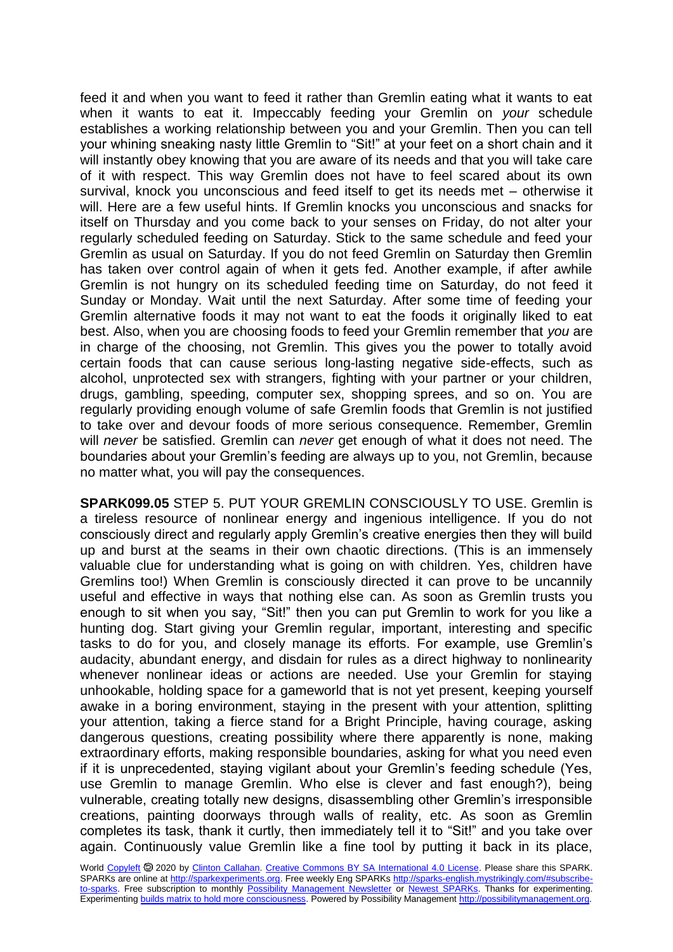feed it and when you want to feed it rather than Gremlin eating what it wants to eat when it wants to eat it. Impeccably feeding your Gremlin on *your* schedule establishes a working relationship between you and your Gremlin. Then you can tell your whining sneaking nasty little Gremlin to "Sit!" at your feet on a short chain and it will instantly obey knowing that you are aware of its needs and that you will take care of it with respect. This way Gremlin does not have to feel scared about its own survival, knock you unconscious and feed itself to get its needs met – otherwise it will. Here are a few useful hints. If Gremlin knocks you unconscious and snacks for itself on Thursday and you come back to your senses on Friday, do not alter your regularly scheduled feeding on Saturday. Stick to the same schedule and feed your Gremlin as usual on Saturday. If you do not feed Gremlin on Saturday then Gremlin has taken over control again of when it gets fed. Another example, if after awhile Gremlin is not hungry on its scheduled feeding time on Saturday, do not feed it Sunday or Monday. Wait until the next Saturday. After some time of feeding your Gremlin alternative foods it may not want to eat the foods it originally liked to eat best. Also, when you are choosing foods to feed your Gremlin remember that *you* are in charge of the choosing, not Gremlin. This gives you the power to totally avoid certain foods that can cause serious long-lasting negative side-effects, such as alcohol, unprotected sex with strangers, fighting with your partner or your children, drugs, gambling, speeding, computer sex, shopping sprees, and so on. You are regularly providing enough volume of safe Gremlin foods that Gremlin is not justified to take over and devour foods of more serious consequence. Remember, Gremlin will *never* be satisfied. Gremlin can *never* get enough of what it does not need. The boundaries about your Gremlin's feeding are always up to you, not Gremlin, because no matter what, you will pay the consequences.

**SPARK099.05** STEP 5. PUT YOUR GREMLIN CONSCIOUSLY TO USE. Gremlin is a tireless resource of nonlinear energy and ingenious intelligence. If you do not consciously direct and regularly apply Gremlin's creative energies then they will build up and burst at the seams in their own chaotic directions. (This is an immensely valuable clue for understanding what is going on with children. Yes, children have Gremlins too!) When Gremlin is consciously directed it can prove to be uncannily useful and effective in ways that nothing else can. As soon as Gremlin trusts you enough to sit when you say, "Sit!" then you can put Gremlin to work for you like a hunting dog. Start giving your Gremlin regular, important, interesting and specific tasks to do for you, and closely manage its efforts. For example, use Gremlin's audacity, abundant energy, and disdain for rules as a direct highway to nonlinearity whenever nonlinear ideas or actions are needed. Use your Gremlin for staying unhookable, holding space for a gameworld that is not yet present, keeping yourself awake in a boring environment, staying in the present with your attention, splitting your attention, taking a fierce stand for a Bright Principle, having courage, asking dangerous questions, creating possibility where there apparently is none, making extraordinary efforts, making responsible boundaries, asking for what you need even if it is unprecedented, staying vigilant about your Gremlin's feeding schedule (Yes, use Gremlin to manage Gremlin. Who else is clever and fast enough?), being vulnerable, creating totally new designs, disassembling other Gremlin's irresponsible creations, painting doorways through walls of reality, etc. As soon as Gremlin completes its task, thank it curtly, then immediately tell it to "Sit!" and you take over again. Continuously value Gremlin like a fine tool by putting it back in its place,